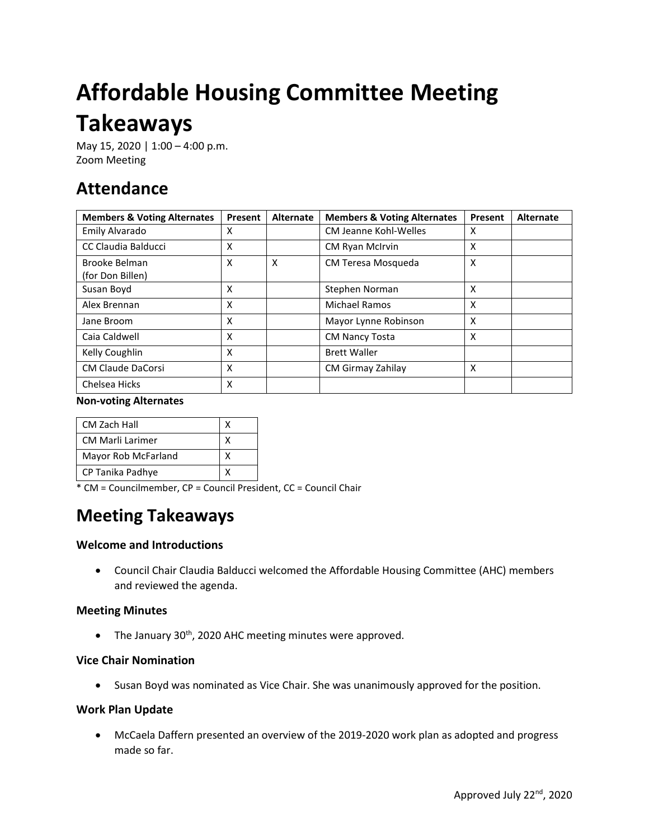# **Affordable Housing Committee Meeting Takeaways**

May 15, 2020 | 1:00 - 4:00 p.m. Zoom Meeting

# **Attendance**

| <b>Members &amp; Voting Alternates</b> | Present | <b>Alternate</b> | <b>Members &amp; Voting Alternates</b> | Present | <b>Alternate</b> |
|----------------------------------------|---------|------------------|----------------------------------------|---------|------------------|
| Emily Alvarado                         | x       |                  | <b>CM Jeanne Kohl-Welles</b>           | X       |                  |
| CC Claudia Balducci                    | x       |                  | CM Ryan McIrvin                        | X       |                  |
| Brooke Belman<br>(for Don Billen)      | X       | X                | CM Teresa Mosqueda                     | X       |                  |
| Susan Boyd                             | X       |                  | Stephen Norman                         | X       |                  |
| Alex Brennan                           | x       |                  | <b>Michael Ramos</b>                   | X       |                  |
| Jane Broom                             | x       |                  | Mayor Lynne Robinson                   | x       |                  |
| Caia Caldwell                          | X       |                  | <b>CM Nancy Tosta</b>                  | X       |                  |
| Kelly Coughlin                         | x       |                  | <b>Brett Waller</b>                    |         |                  |
| <b>CM Claude DaCorsi</b>               | X       |                  | CM Girmay Zahilay                      | X       |                  |
| Chelsea Hicks                          | x       |                  |                                        |         |                  |

#### **Non-voting Alternates**

| CM Zach Hall            |  |
|-------------------------|--|
| <b>CM Marli Larimer</b> |  |
| Mayor Rob McFarland     |  |
| CP Tanika Padhye        |  |

\* CM = Councilmember, CP = Council President, CC = Council Chair

# **Meeting Takeaways**

## **Welcome and Introductions**

• Council Chair Claudia Balducci welcomed the Affordable Housing Committee (AHC) members and reviewed the agenda.

## **Meeting Minutes**

• The January  $30<sup>th</sup>$ , 2020 AHC meeting minutes were approved.

## **Vice Chair Nomination**

• Susan Boyd was nominated as Vice Chair. She was unanimously approved for the position.

## **Work Plan Update**

• McCaela Daffern presented an overview of the 2019-2020 work plan as adopted and progress made so far.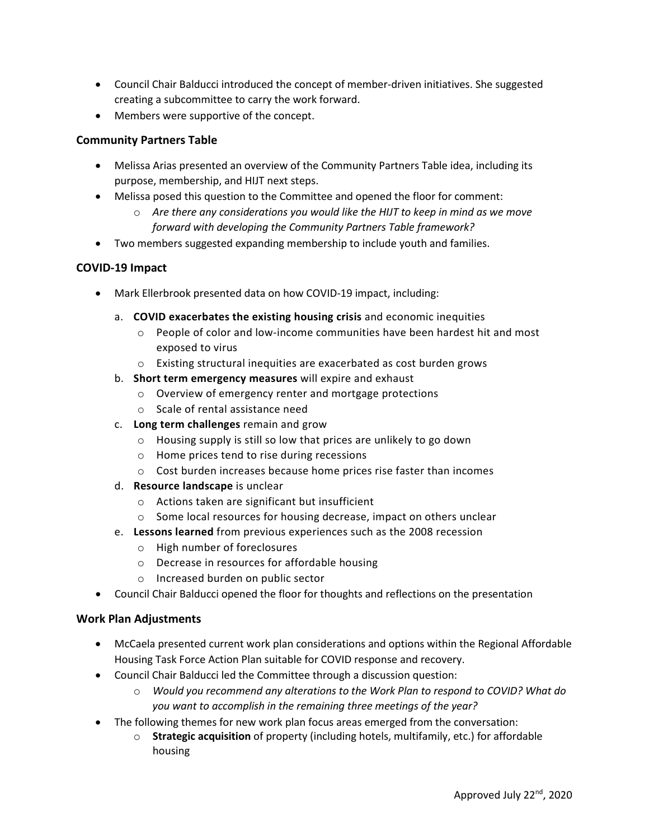- Council Chair Balducci introduced the concept of member-driven initiatives. She suggested creating a subcommittee to carry the work forward.
- Members were supportive of the concept.

## **Community Partners Table**

- Melissa Arias presented an overview of the Community Partners Table idea, including its purpose, membership, and HIJT next steps.
- Melissa posed this question to the Committee and opened the floor for comment:
	- o *Are there any considerations you would like the HIJT to keep in mind as we move forward with developing the Community Partners Table framework?*
- Two members suggested expanding membership to include youth and families.

#### **COVID-19 Impact**

- Mark Ellerbrook presented data on how COVID-19 impact, including:
	- a. **COVID exacerbates the existing housing crisis** and economic inequities
		- o People of color and low-income communities have been hardest hit and most exposed to virus
		- o Existing structural inequities are exacerbated as cost burden grows
	- b. **Short term emergency measures** will expire and exhaust
		- o Overview of emergency renter and mortgage protections
		- o Scale of rental assistance need
	- c. **Long term challenges** remain and grow
		- o Housing supply is still so low that prices are unlikely to go down
		- o Home prices tend to rise during recessions
		- $\circ$  Cost burden increases because home prices rise faster than incomes
	- d. **Resource landscape** is unclear
		- o Actions taken are significant but insufficient
		- o Some local resources for housing decrease, impact on others unclear
	- e. **Lessons learned** from previous experiences such as the 2008 recession
		- o High number of foreclosures
		- o Decrease in resources for affordable housing
		- o Increased burden on public sector
- Council Chair Balducci opened the floor for thoughts and reflections on the presentation

#### **Work Plan Adjustments**

- McCaela presented current work plan considerations and options within the Regional Affordable Housing Task Force Action Plan suitable for COVID response and recovery.
- Council Chair Balducci led the Committee through a discussion question:
	- o *Would you recommend any alterations to the Work Plan to respond to COVID? What do you want to accomplish in the remaining three meetings of the year?*
- The following themes for new work plan focus areas emerged from the conversation:
	- o **Strategic acquisition** of property (including hotels, multifamily, etc.) for affordable housing